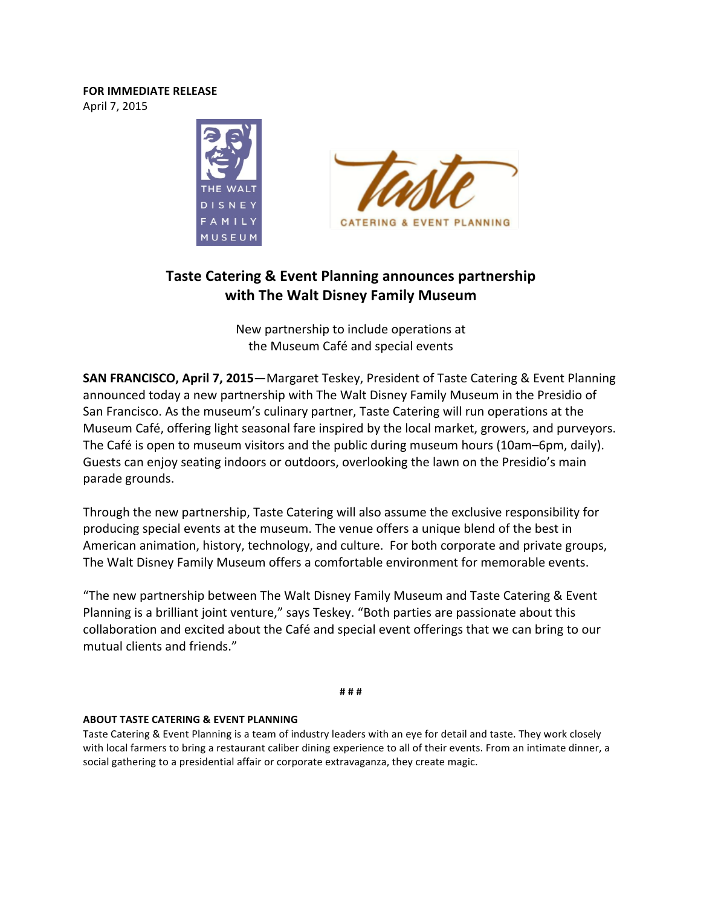## **FOR IMMEDIATE RELEASE** April 7, 2015



# **Taste Catering & Event Planning announces partnership with The Walt Disney Family Museum**

New partnership to include operations at the Museum Café and special events

**SAN FRANCISCO, April 7, 2015**—Margaret Teskey, President of Taste Catering & Event Planning announced today a new partnership with The Walt Disney Family Museum in the Presidio of San Francisco. As the museum's culinary partner, Taste Catering will run operations at the Museum Café, offering light seasonal fare inspired by the local market, growers, and purveyors. The Café is open to museum visitors and the public during museum hours (10am–6pm, daily). Guests can enjoy seating indoors or outdoors, overlooking the lawn on the Presidio's main parade grounds.

Through the new partnership, Taste Catering will also assume the exclusive responsibility for producing special events at the museum. The venue offers a unique blend of the best in American animation, history, technology, and culture. For both corporate and private groups, The Walt Disney Family Museum offers a comfortable environment for memorable events.

"The new partnership between The Walt Disney Family Museum and Taste Catering & Event Planning is a brilliant joint venture," says Teskey. "Both parties are passionate about this collaboration and excited about the Café and special event offerings that we can bring to our mutual clients and friends."

**# # #**

## **ABOUT TASTE CATERING & EVENT PLANNING**

Taste Catering & Event Planning is a team of industry leaders with an eye for detail and taste. They work closely with local farmers to bring a restaurant caliber dining experience to all of their events. From an intimate dinner, a social gathering to a presidential affair or corporate extravaganza, they create magic.